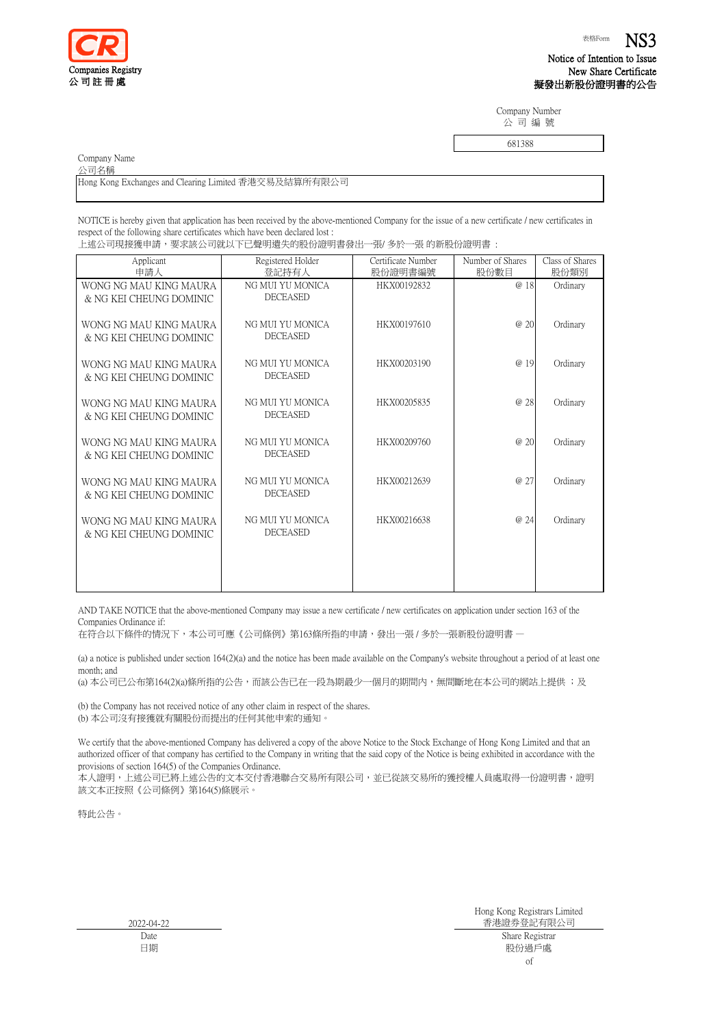

Notice of Intention to Issue New Share Certificate 擬發出新股份證明書的公告

Company Number 公 司 編 號

681388

Company Name

公司名稱

Hong Kong Exchanges and Clearing Limited 香港交易及結算所有限公司

NOTICE is hereby given that application has been received by the above-mentioned Company for the issue of a new certificate / new certificates in respect of the following share certificates which have been declared lost :

| Applicant                                         | Registered Holder                   | Certificate Number | Number of Shares | Class of Shares |
|---------------------------------------------------|-------------------------------------|--------------------|------------------|-----------------|
| 申請人                                               | 登記持有人                               | 股份證明書編號            | 股份數目             | 股份類別            |
| WONG NG MAU KING MAURA<br>& NG KEI CHEUNG DOMINIC | NG MUI YU MONICA<br><b>DECEASED</b> | HKX00192832        | @ 18             | Ordinary        |
| WONG NG MAU KING MAURA<br>& NG KEI CHEUNG DOMINIC | NG MUI YU MONICA<br><b>DECEASED</b> | HKX00197610        | @ 20             | Ordinary        |
| WONG NG MAU KING MAURA<br>& NG KEI CHEUNG DOMINIC | NG MUI YU MONICA<br><b>DECEASED</b> | HKX00203190        | @ 19             | Ordinary        |
| WONG NG MAU KING MAURA<br>& NG KEI CHEUNG DOMINIC | NG MUI YU MONICA<br><b>DECEASED</b> | HKX00205835        | @ 28             | Ordinary        |
| WONG NG MAU KING MAURA<br>& NG KEI CHEUNG DOMINIC | NG MUI YU MONICA<br><b>DECEASED</b> | HKX00209760        | @ 20             | Ordinary        |
| WONG NG MAU KING MAURA<br>& NG KEI CHEUNG DOMINIC | NG MUI YU MONICA<br><b>DECEASED</b> | HKX00212639        | @ 27             | Ordinary        |
| WONG NG MAU KING MAURA<br>& NG KEI CHEUNG DOMINIC | NG MUI YU MONICA<br><b>DECEASED</b> | HKX00216638        | @ 24             | Ordinary        |
|                                                   |                                     |                    |                  |                 |
|                                                   |                                     |                    |                  |                 |

AND TAKE NOTICE that the above-mentioned Company may issue a new certificate / new certificates on application under section 163 of the Companies Ordinance if:

在符合以下條件的情況下,本公司可應《公司條例》第163條所指的申請,發出一張 / 多於一張新股份證明書 —

(a) a notice is published under section 164(2)(a) and the notice has been made available on the Company's website throughout a period of at least one month; and

(a) 本公司已公布第164(2)(a)條所指的公告,而該公告已在一段為期最少一個月的期間內,無間斷地在本公司的網站上提供 ;及

(b) the Company has not received notice of any other claim in respect of the shares. (b) 本公司沒有接獲就有關股份而提出的任何其他申索的通知。

We certify that the above-mentioned Company has delivered a copy of the above Notice to the Stock Exchange of Hong Kong Limited and that an authorized officer of that company has certified to the Company in writing that the said copy of the Notice is being exhibited in accordance with the provisions of section 164(5) of the Companies Ordinance.

本人證明,上述公司已將上述公告的文本交付香港聯合交易所有限公司,並已從該交易所的獲授權人員處取得一份證明書,證明 該文本正按照《公司條例》第164(5)條展示。

特此公告。

2022-04-22 Date 日期

Hong Kong Registrars Limited 香港證券登記有限公司 Share Registrar 股份過戶處 of